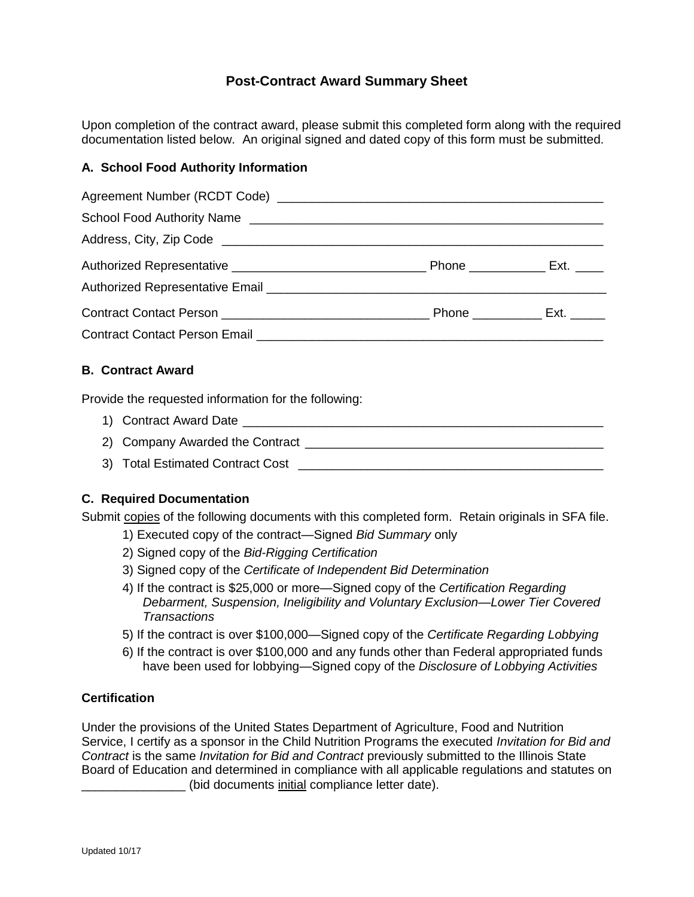# **Post-Contract Award Summary Sheet**

Upon completion of the contract award, please submit this completed form along with the required documentation listed below. An original signed and dated copy of this form must be submitted.

## **A. School Food Authority Information**

| Authorized Representative Email Network and Authorized Representative Email |  |
|-----------------------------------------------------------------------------|--|
|                                                                             |  |
| Contract Contact Person Email League and Contract Contract Person Email     |  |

### **B. Contract Award**

Provide the requested information for the following:

- 1) Contract Award Date
- 2) Company Awarded the Contract \_\_\_\_\_\_\_\_\_\_\_\_\_\_\_\_\_\_\_\_\_\_\_\_\_\_\_\_\_\_\_\_\_\_\_\_\_\_\_\_\_\_\_
- 3) Total Estimated Contract Cost **Example 20** For all the state of  $\sim$

### **C. Required Documentation**

Submit copies of the following documents with this completed form. Retain originals in SFA file.

- 1) Executed copy of the contract—Signed *Bid Summary* only
- 2) Signed copy of the *Bid-Rigging Certification*
- 3) Signed copy of the *Certificate of Independent Bid Determination*
- 4) If the contract is \$25,000 or more—Signed copy of the *Certification Regarding Debarment, Suspension, Ineligibility and Voluntary Exclusion*—*Lower Tier Covered Transactions*
- 5) If the contract is over \$100,000—Signed copy of the *Certificate Regarding Lobbying*
- 6) If the contract is over \$100,000 and any funds other than Federal appropriated funds have been used for lobbying—Signed copy of the *Disclosure of Lobbying Activities*

## **Certification**

Under the provisions of the United States Department of Agriculture, Food and Nutrition Service, I certify as a sponsor in the Child Nutrition Programs the executed *Invitation for Bid and Contract* is the same *Invitation for Bid and Contract* previously submitted to the Illinois State Board of Education and determined in compliance with all applicable regulations and statutes on \_\_\_\_\_\_\_\_\_\_\_\_\_\_\_ (bid documents initial compliance letter date).